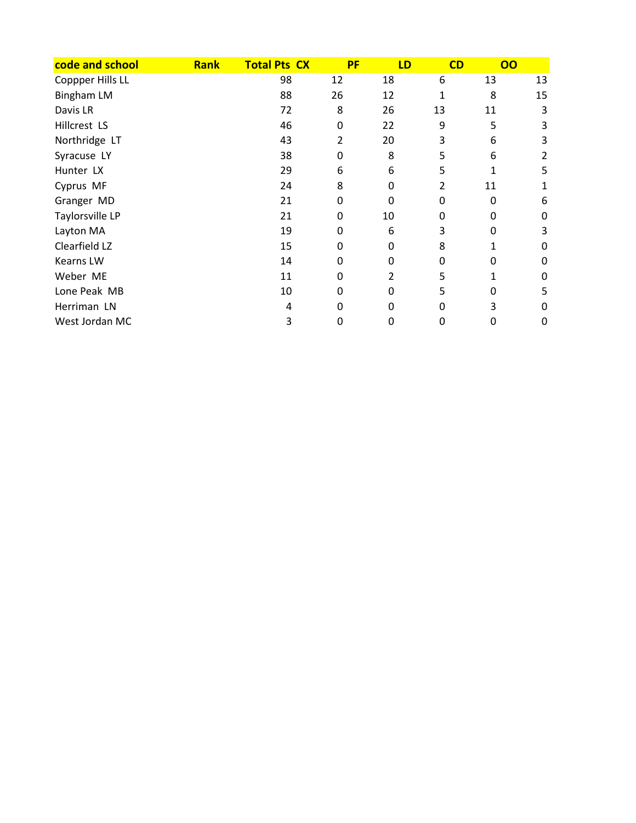| code and school   | <b>Rank</b> | <b>Total Pts CX</b> | <b>PF</b> | LD           | CD           | 00 |    |
|-------------------|-------------|---------------------|-----------|--------------|--------------|----|----|
| Coppper Hills LL  |             | 98                  | 12        | 18           | 6            | 13 | 13 |
| <b>Bingham LM</b> |             | 88                  | 26        | 12           | $\mathbf{1}$ | 8  | 15 |
| Davis LR          |             | 72                  | 8         | 26           | 13           | 11 | 3  |
| Hillcrest LS      |             | 46                  | 0         | 22           | 9            | 5  | 3  |
| Northridge LT     |             | 43                  | 2         | 20           | 3            | 6  | 3  |
| Syracuse LY       |             | 38                  | 0         | 8            | 5            | 6  | 2  |
| Hunter LX         |             | 29                  | 6         | 6            | 5            |    | 5  |
| Cyprus MF         |             | 24                  | 8         | 0            | 2            | 11 |    |
| Granger MD        |             | 21                  | 0         | 0            | 0            | 0  | 6  |
| Taylorsville LP   |             | 21                  | 0         | 10           | 0            | 0  | 0  |
| Layton MA         |             | 19                  | 0         | 6            | 3            | 0  | 3  |
| Clearfield LZ     |             | 15                  | 0         | 0            | 8            |    | 0  |
| <b>Kearns LW</b>  |             | 14                  | 0         | $\Omega$     | 0            | 0  | 0  |
| Weber ME          |             | 11                  | 0         | 2            | 5            |    | 0  |
| Lone Peak MB      |             | 10                  | 0         | 0            | 5            | 0  | 5  |
| Herriman LN       |             | 4                   | 0         | <sup>0</sup> | 0            | 3  | 0  |
| West Jordan MC    |             | 3                   | 0         | 0            | 0            | 0  | 0  |